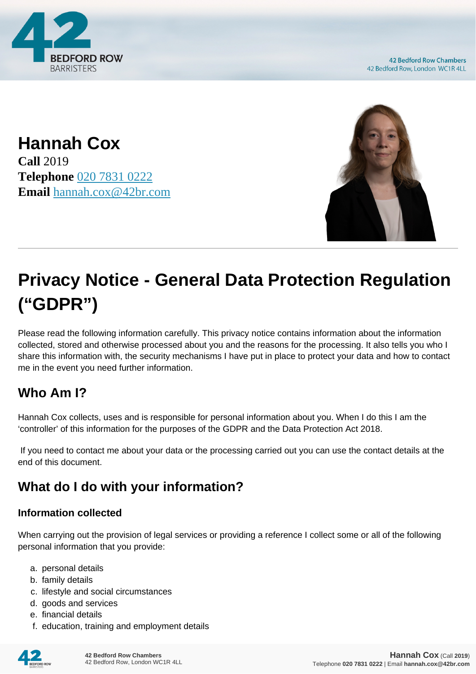

**42 Bedford Row Chambers** 42 Bedford Row, London WC1R 4LL

**Hannah Cox Call** 2019 **Telephone** [020 7831 0222](https://pdf.codeshore.co/_42br/tel:020 7831 0222) **Email** [hannah.cox@42br.com](mailto:hannah.cox@42br.com)



# **Privacy Notice - General Data Protection Regulation ("GDPR")**

Please read the following information carefully. This privacy notice contains information about the information collected, stored and otherwise processed about you and the reasons for the processing. It also tells you who I share this information with, the security mechanisms I have put in place to protect your data and how to contact me in the event you need further information.

# **Who Am I?**

Hannah Cox collects, uses and is responsible for personal information about you. When I do this I am the 'controller' of this information for the purposes of the GDPR and the Data Protection Act 2018.

 If you need to contact me about your data or the processing carried out you can use the contact details at the end of this document.

# **What do I do with your information?**

#### **Information collected**

When carrying out the provision of legal services or providing a reference I collect some or all of the following personal information that you provide:

- a. personal details
- b. family details
- c. lifestyle and social circumstances
- d. goods and services
- e. financial details
- f. education, training and employment details

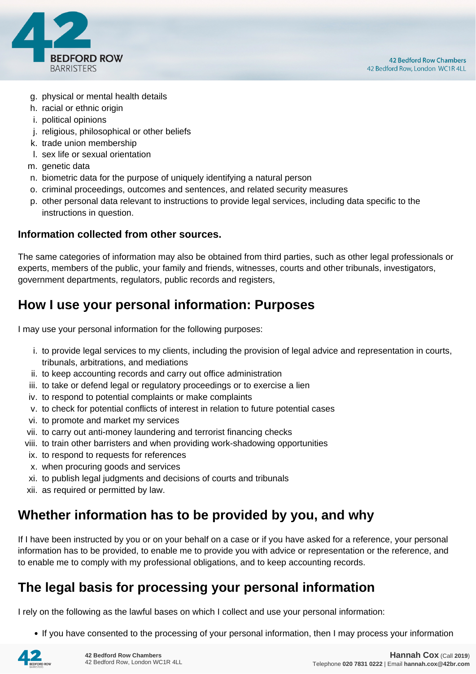

- g. physical or mental health details
- h. racial or ethnic origin
- i. political opinions
- j. religious, philosophical or other beliefs
- k. trade union membership
- l. sex life or sexual orientation
- m. genetic data
- n. biometric data for the purpose of uniquely identifying a natural person
- o. criminal proceedings, outcomes and sentences, and related security measures
- p. other personal data relevant to instructions to provide legal services, including data specific to the instructions in question.

#### **Information collected from other sources.**

The same categories of information may also be obtained from third parties, such as other legal professionals or experts, members of the public, your family and friends, witnesses, courts and other tribunals, investigators, government departments, regulators, public records and registers,

# **How I use your personal information: Purposes**

I may use your personal information for the following purposes:

- i. to provide legal services to my clients, including the provision of legal advice and representation in courts, tribunals, arbitrations, and mediations
- ii. to keep accounting records and carry out office administration
- iii. to take or defend legal or regulatory proceedings or to exercise a lien
- iv. to respond to potential complaints or make complaints
- v. to check for potential conflicts of interest in relation to future potential cases
- vi. to promote and market my services
- vii. to carry out anti-money laundering and terrorist financing checks
- viii. to train other barristers and when providing work-shadowing opportunities
- ix. to respond to requests for references
- x. when procuring goods and services
- xi. to publish legal judgments and decisions of courts and tribunals
- xii. as required or permitted by law.

# **Whether information has to be provided by you, and why**

If I have been instructed by you or on your behalf on a case or if you have asked for a reference, your personal information has to be provided, to enable me to provide you with advice or representation or the reference, and to enable me to comply with my professional obligations, and to keep accounting records.

# **The legal basis for processing your personal information**

I rely on the following as the lawful bases on which I collect and use your personal information:

• If you have consented to the processing of your personal information, then I may process your information

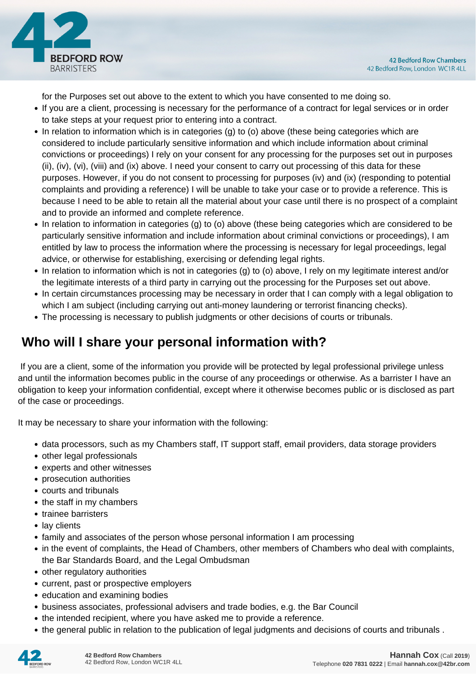

for the Purposes set out above to the extent to which you have consented to me doing so.

- If you are a client, processing is necessary for the performance of a contract for legal services or in order to take steps at your request prior to entering into a contract.
- In relation to information which is in categories (g) to (o) above (these being categories which are considered to include particularly sensitive information and which include information about criminal convictions or proceedings) I rely on your consent for any processing for the purposes set out in purposes (ii), (iv), (vi), (viii) and (ix) above. I need your consent to carry out processing of this data for these purposes. However, if you do not consent to processing for purposes (iv) and (ix) (responding to potential complaints and providing a reference) I will be unable to take your case or to provide a reference. This is because I need to be able to retain all the material about your case until there is no prospect of a complaint and to provide an informed and complete reference.
- In relation to information in categories (g) to (o) above (these being categories which are considered to be particularly sensitive information and include information about criminal convictions or proceedings), I am entitled by law to process the information where the processing is necessary for legal proceedings, legal advice, or otherwise for establishing, exercising or defending legal rights.
- In relation to information which is not in categories (g) to (o) above, I rely on my legitimate interest and/or the legitimate interests of a third party in carrying out the processing for the Purposes set out above.
- In certain circumstances processing may be necessary in order that I can comply with a legal obligation to which I am subject (including carrying out anti-money laundering or terrorist financing checks).
- The processing is necessary to publish judgments or other decisions of courts or tribunals.

# **Who will I share your personal information with?**

 If you are a client, some of the information you provide will be protected by legal professional privilege unless and until the information becomes public in the course of any proceedings or otherwise. As a barrister I have an obligation to keep your information confidential, except where it otherwise becomes public or is disclosed as part of the case or proceedings.

It may be necessary to share your information with the following:

- data processors, such as my Chambers staff, IT support staff, email providers, data storage providers
- other legal professionals
- experts and other witnesses
- prosecution authorities
- courts and tribunals
- the staff in my chambers
- trainee barristers
- lay clients
- family and associates of the person whose personal information I am processing
- in the event of complaints, the Head of Chambers, other members of Chambers who deal with complaints, the Bar Standards Board, and the Legal Ombudsman
- other regulatory authorities
- current, past or prospective employers
- education and examining bodies
- business associates, professional advisers and trade bodies, e.g. the Bar Council
- the intended recipient, where you have asked me to provide a reference.
- the general public in relation to the publication of legal judgments and decisions of courts and tribunals .

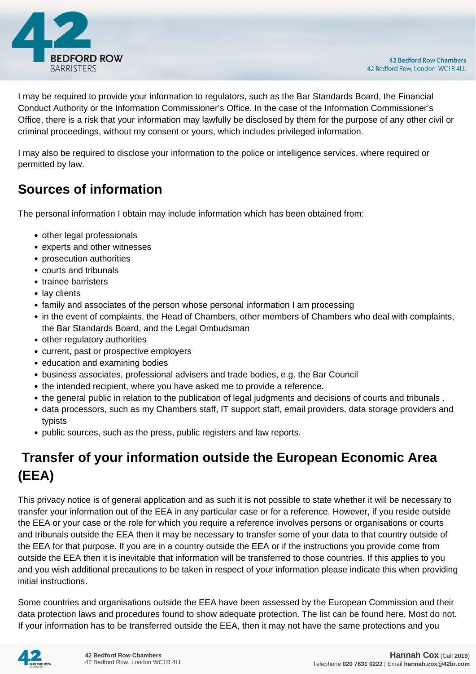

I may be required to provide your information to regulators, such as the Bar Standards Board, the Financial Conduct Authority or the Information Commissioner's Office. In the case of the Information Commissioner's Office, there is a risk that your information may lawfully be disclosed by them for the purpose of any other civil or criminal proceedings, without my consent or yours, which includes privileged information.

I may also be required to disclose your information to the police or intelligence services, where required or permitted by law.

# **Sources of information**

The personal information I obtain may include information which has been obtained from:

- other legal professionals
- experts and other witnesses
- prosecution authorities
- courts and tribunals
- trainee barristers
- lay clients
- family and associates of the person whose personal information I am processing
- in the event of complaints, the Head of Chambers, other members of Chambers who deal with complaints, the Bar Standards Board, and the Legal Ombudsman
- other regulatory authorities
- current, past or prospective employers
- education and examining bodies
- business associates, professional advisers and trade bodies, e.g. the Bar Council
- the intended recipient, where you have asked me to provide a reference.
- the general public in relation to the publication of legal judgments and decisions of courts and tribunals .
- data processors, such as my Chambers staff, IT support staff, email providers, data storage providers and typists
- public sources, such as the press, public registers and law reports.

# **Transfer of your information outside the European Economic Area (EEA)**

This privacy notice is of general application and as such it is not possible to state whether it will be necessary to transfer your information out of the EEA in any particular case or for a reference. However, if you reside outside the EEA or your case or the role for which you require a reference involves persons or organisations or courts and tribunals outside the EEA then it may be necessary to transfer some of your data to that country outside of the EEA for that purpose. If you are in a country outside the EEA or if the instructions you provide come from outside the EEA then it is inevitable that information will be transferred to those countries. If this applies to you and you wish additional precautions to be taken in respect of your information please indicate this when providing initial instructions.

Some countries and organisations outside the EEA have been assessed by the European Commission and their data protection laws and procedures found to show adequate protection. The list can be found here. Most do not. If your information has to be transferred outside the EEA, then it may not have the same protections and you

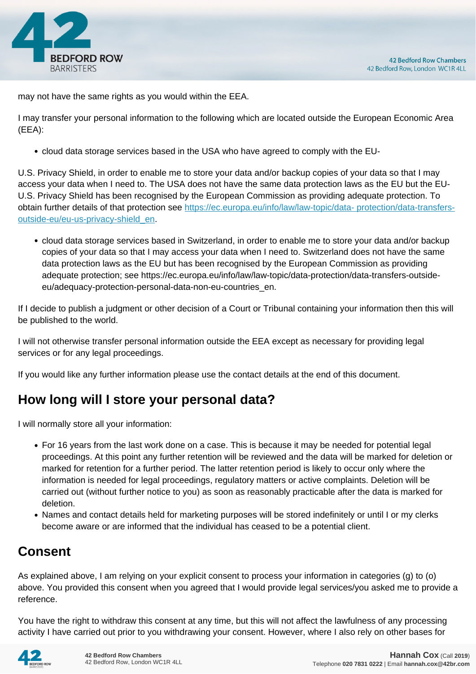

may not have the same rights as you would within the EEA.

I may transfer your personal information to the following which are located outside the European Economic Area (EEA):

cloud data storage services based in the USA who have agreed to comply with the EU-

U.S. Privacy Shield, in order to enable me to store your data and/or backup copies of your data so that I may access your data when I need to. The USA does not have the same data protection laws as the EU but the EU-U.S. Privacy Shield has been recognised by the European Commission as providing adequate protection. To obtain further details of that protection see [https://ec.europa.eu/info/law/law-topic/data- protection/data-transfers](https://ec.europa.eu/info/law/law-topic/data- protection/data-transfers-outside-eu/eu-us-privacy-shield_en)[outside-eu/eu-us-privacy-shield\\_en.](https://ec.europa.eu/info/law/law-topic/data- protection/data-transfers-outside-eu/eu-us-privacy-shield_en)

cloud data storage services based in Switzerland, in order to enable me to store your data and/or backup copies of your data so that I may access your data when I need to. Switzerland does not have the same data protection laws as the EU but has been recognised by the European Commission as providing adequate protection; see https://ec.europa.eu/info/law/law-topic/data-protection/data-transfers-outsideeu/adequacy-protection-personal-data-non-eu-countries\_en.

If I decide to publish a judgment or other decision of a Court or Tribunal containing your information then this will be published to the world.

I will not otherwise transfer personal information outside the EEA except as necessary for providing legal services or for any legal proceedings.

If you would like any further information please use the contact details at the end of this document.

# **How long will I store your personal data?**

I will normally store all your information:

- For 16 years from the last work done on a case. This is because it may be needed for potential legal proceedings. At this point any further retention will be reviewed and the data will be marked for deletion or marked for retention for a further period. The latter retention period is likely to occur only where the information is needed for legal proceedings, regulatory matters or active complaints. Deletion will be carried out (without further notice to you) as soon as reasonably practicable after the data is marked for deletion.
- Names and contact details held for marketing purposes will be stored indefinitely or until I or my clerks become aware or are informed that the individual has ceased to be a potential client.

# **Consent**

As explained above, I am relying on your explicit consent to process your information in categories (g) to (o) above. You provided this consent when you agreed that I would provide legal services/you asked me to provide a reference.

You have the right to withdraw this consent at any time, but this will not affect the lawfulness of any processing activity I have carried out prior to you withdrawing your consent. However, where I also rely on other bases for

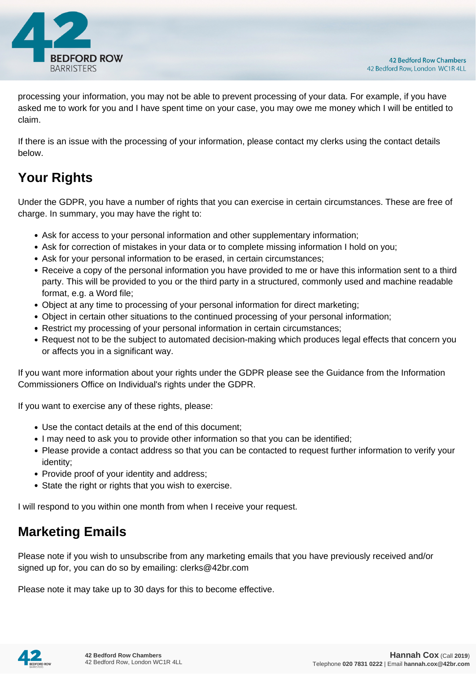

processing your information, you may not be able to prevent processing of your data. For example, if you have asked me to work for you and I have spent time on your case, you may owe me money which I will be entitled to claim.

If there is an issue with the processing of your information, please contact my clerks using the contact details below.

# **Your Rights**

Under the GDPR, you have a number of rights that you can exercise in certain circumstances. These are free of charge. In summary, you may have the right to:

- Ask for access to your personal information and other supplementary information;
- Ask for correction of mistakes in your data or to complete missing information I hold on you;
- Ask for your personal information to be erased, in certain circumstances;
- Receive a copy of the personal information you have provided to me or have this information sent to a third party. This will be provided to you or the third party in a structured, commonly used and machine readable format, e.g. a Word file;
- Object at any time to processing of your personal information for direct marketing;
- Object in certain other situations to the continued processing of your personal information;
- Restrict my processing of your personal information in certain circumstances;
- Request not to be the subject to automated decision-making which produces legal effects that concern you or affects you in a significant way.

If you want more information about your rights under the GDPR please see the Guidance from the Information Commissioners Office on Individual's rights under the GDPR.

If you want to exercise any of these rights, please:

- Use the contact details at the end of this document;
- I may need to ask you to provide other information so that you can be identified;
- Please provide a contact address so that you can be contacted to request further information to verify your identity;
- Provide proof of your identity and address;
- State the right or rights that you wish to exercise.

I will respond to you within one month from when I receive your request.

# **Marketing Emails**

Please note if you wish to unsubscribe from any marketing emails that you have previously received and/or signed up for, you can do so by emailing: clerks@42br.com

Please note it may take up to 30 days for this to become effective.